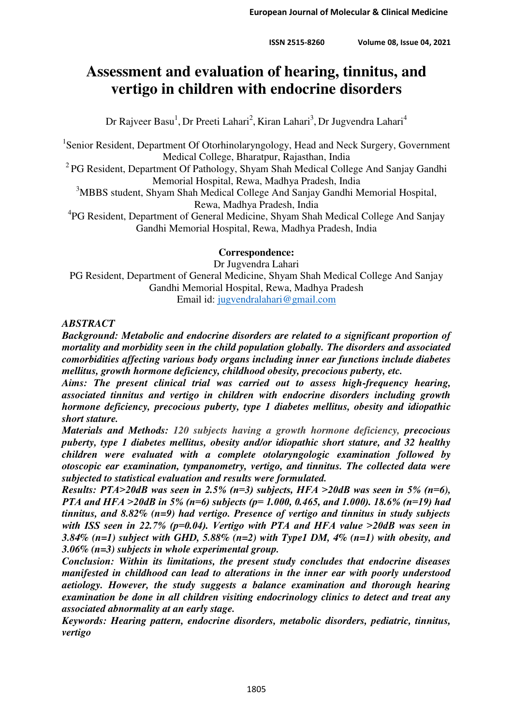# **Assessment and evaluation of hearing, tinnitus, and vertigo in children with endocrine disorders**

Dr Rajveer Basu<sup>1</sup>, Dr Preeti Lahari<sup>2</sup>, Kiran Lahari<sup>3</sup>, Dr Jugvendra Lahari<sup>4</sup>

<sup>1</sup>Senior Resident, Department Of Otorhinolaryngology, Head and Neck Surgery, Government Medical College, Bharatpur, Rajasthan, India

<sup>2</sup> PG Resident, Department Of Pathology, Shyam Shah Medical College And Sanjay Gandhi Memorial Hospital, Rewa, Madhya Pradesh, India

<sup>3</sup>MBBS student, Shyam Shah Medical College And Sanjay Gandhi Memorial Hospital, Rewa, Madhya Pradesh, India

<sup>4</sup>PG Resident, Department of General Medicine, Shyam Shah Medical College And Sanjay Gandhi Memorial Hospital, Rewa, Madhya Pradesh, India

# **Correspondence:**

Dr Jugvendra Lahari PG Resident, Department of General Medicine, Shyam Shah Medical College And Sanjay Gandhi Memorial Hospital, Rewa, Madhya Pradesh Email id: [jugvendralahari@gmail.com](mailto:jugvendralahari@gmail.com)

# *ABSTRACT*

*Background: Metabolic and endocrine disorders are related to a significant proportion of mortality and morbidity seen in the child population globally. The disorders and associated comorbidities affecting various body organs including inner ear functions include diabetes mellitus, growth hormone deficiency, childhood obesity, precocious puberty, etc.* 

*Aims: The present clinical trial was carried out to assess high-frequency hearing, associated tinnitus and vertigo in children with endocrine disorders including growth hormone deficiency, precocious puberty, type 1 diabetes mellitus, obesity and idiopathic short stature.* 

*Materials and Methods: 120 subjects having a growth hormone deficiency, precocious puberty, type 1 diabetes mellitus, obesity and/or idiopathic short stature, and 32 healthy children were evaluated with a complete otolaryngologic examination followed by otoscopic ear examination, tympanometry, vertigo, and tinnitus. The collected data were subjected to statistical evaluation and results were formulated.* 

*Results: PTA˃20dB was seen in 2.5% (n=3) subjects, HFA ˃20dB was seen in 5% (n=6), PTA and HFA ˃20dB in 5% (n=6) subjects (p= 1.000, 0.465, and 1.000). 18.6% (n=19) had tinnitus, and 8.82% (n=9) had vertigo. Presence of vertigo and tinnitus in study subjects with ISS seen in 22.7% (p=0.04). Vertigo with PTA and HFA value ˃20dB was seen in 3.84% (n=1) subject with GHD, 5.88% (n=2) with Type1 DM, 4% (n=1) with obesity, and 3.06% (n=3) subjects in whole experimental group.* 

*Conclusion: Within its limitations, the present study concludes that endocrine diseases manifested in childhood can lead to alterations in the inner ear with poorly understood aetiology. However, the study suggests a balance examination and thorough hearing examination be done in all children visiting endocrinology clinics to detect and treat any associated abnormality at an early stage.* 

*Keywords: Hearing pattern, endocrine disorders, metabolic disorders, pediatric, tinnitus, vertigo*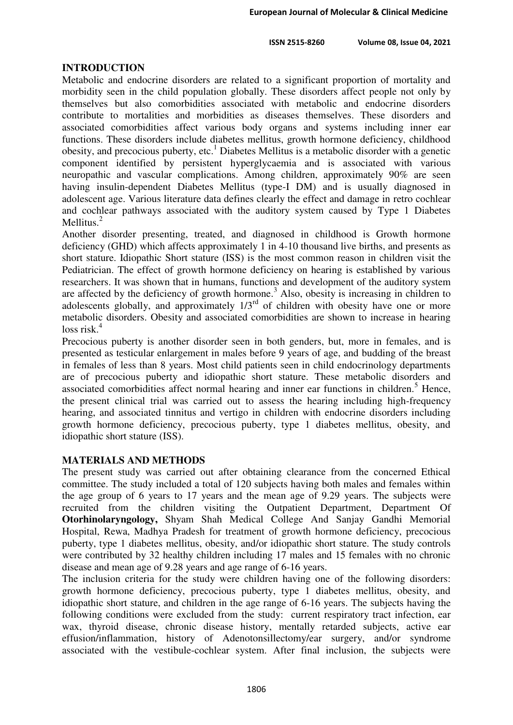#### **ISSN 2515-8260 Volume 08, Issue 04, 2021**

### **INTRODUCTION**

Metabolic and endocrine disorders are related to a significant proportion of mortality and morbidity seen in the child population globally. These disorders affect people not only by themselves but also comorbidities associated with metabolic and endocrine disorders contribute to mortalities and morbidities as diseases themselves. These disorders and associated comorbidities affect various body organs and systems including inner ear functions. These disorders include diabetes mellitus, growth hormone deficiency, childhood obesity, and precocious puberty, etc.<sup>1</sup> Diabetes Mellitus is a metabolic disorder with a genetic component identified by persistent hyperglycaemia and is associated with various neuropathic and vascular complications. Among children, approximately 90% are seen having insulin-dependent Diabetes Mellitus (type-I DM) and is usually diagnosed in adolescent age. Various literature data defines clearly the effect and damage in retro cochlear and cochlear pathways associated with the auditory system caused by Type 1 Diabetes Mellitus. $^{2}$ 

Another disorder presenting, treated, and diagnosed in childhood is Growth hormone deficiency (GHD) which affects approximately 1 in 4-10 thousand live births, and presents as short stature. Idiopathic Short stature (ISS) is the most common reason in children visit the Pediatrician. The effect of growth hormone deficiency on hearing is established by various researchers. It was shown that in humans, functions and development of the auditory system are affected by the deficiency of growth hormone.<sup>3</sup> Also, obesity is increasing in children to adolescents globally, and approximately  $1/3<sup>rd</sup>$  of children with obesity have one or more metabolic disorders. Obesity and associated comorbidities are shown to increase in hearing  $loss risk.<sup>4</sup>$ 

Precocious puberty is another disorder seen in both genders, but, more in females, and is presented as testicular enlargement in males before 9 years of age, and budding of the breast in females of less than 8 years. Most child patients seen in child endocrinology departments are of precocious puberty and idiopathic short stature. These metabolic disorders and associated comorbidities affect normal hearing and inner ear functions in children.<sup>5</sup> Hence, the present clinical trial was carried out to assess the hearing including high-frequency hearing, and associated tinnitus and vertigo in children with endocrine disorders including growth hormone deficiency, precocious puberty, type 1 diabetes mellitus, obesity, and idiopathic short stature (ISS).

### **MATERIALS AND METHODS**

The present study was carried out after obtaining clearance from the concerned Ethical committee. The study included a total of 120 subjects having both males and females within the age group of 6 years to 17 years and the mean age of 9.29 years. The subjects were recruited from the children visiting the Outpatient Department, Department Of **Otorhinolaryngology,** Shyam Shah Medical College And Sanjay Gandhi Memorial Hospital, Rewa, Madhya Pradesh for treatment of growth hormone deficiency, precocious puberty, type 1 diabetes mellitus, obesity, and/or idiopathic short stature. The study controls were contributed by 32 healthy children including 17 males and 15 females with no chronic disease and mean age of 9.28 years and age range of 6-16 years.

The inclusion criteria for the study were children having one of the following disorders: growth hormone deficiency, precocious puberty, type 1 diabetes mellitus, obesity, and idiopathic short stature, and children in the age range of 6-16 years. The subjects having the following conditions were excluded from the study: current respiratory tract infection, ear wax, thyroid disease, chronic disease history, mentally retarded subjects, active ear effusion/inflammation, history of Adenotonsillectomy/ear surgery, and/or syndrome associated with the vestibule-cochlear system. After final inclusion, the subjects were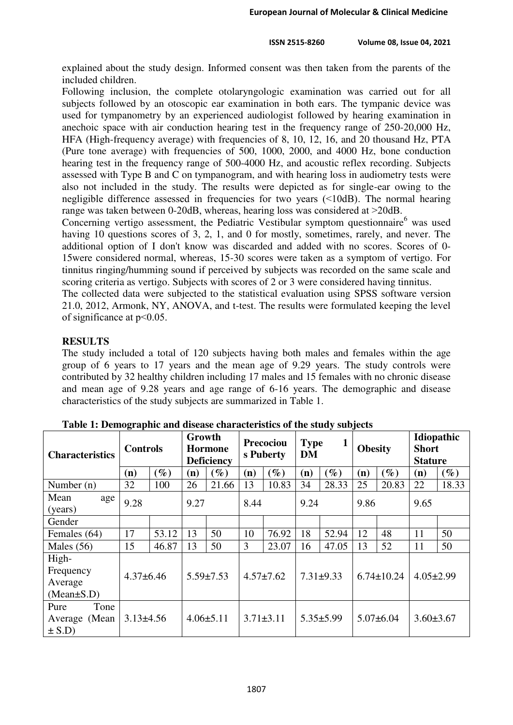explained about the study design. Informed consent was then taken from the parents of the included children.

Following inclusion, the complete otolaryngologic examination was carried out for all subjects followed by an otoscopic ear examination in both ears. The tympanic device was used for tympanometry by an experienced audiologist followed by hearing examination in anechoic space with air conduction hearing test in the frequency range of 250-20,000 Hz, HFA (High-frequency average) with frequencies of 8, 10, 12, 16, and 20 thousand Hz, PTA (Pure tone average) with frequencies of 500, 1000, 2000, and 4000 Hz, bone conduction hearing test in the frequency range of 500-4000 Hz, and acoustic reflex recording. Subjects assessed with Type B and C on tympanogram, and with hearing loss in audiometry tests were also not included in the study. The results were depicted as for single-ear owing to the negligible difference assessed in frequencies for two years (˂10dB). The normal hearing range was taken between 0-20dB, whereas, hearing loss was considered at  $>$ 20dB.

Concerning vertigo assessment, the Pediatric Vestibular symptom questionnaire<sup>6</sup> was used having 10 questions scores of 3, 2, 1, and 0 for mostly, sometimes, rarely, and never. The additional option of I don't know was discarded and added with no scores. Scores of 0- 15were considered normal, whereas, 15-30 scores were taken as a symptom of vertigo. For tinnitus ringing/humming sound if perceived by subjects was recorded on the same scale and scoring criteria as vertigo. Subjects with scores of 2 or 3 were considered having tinnitus.

The collected data were subjected to the statistical evaluation using SPSS software version 21.0, 2012, Armonk, NY, ANOVA, and t-test. The results were formulated keeping the level of significance at p˂0.05.

# **RESULTS**

The study included a total of 120 subjects having both males and females within the age group of 6 years to 17 years and the mean age of 9.29 years. The study controls were contributed by 32 healthy children including 17 males and 15 females with no chronic disease and mean age of 9.28 years and age range of 6-16 years. The demographic and disease characteristics of the study subjects are summarized in Table 1.

| <b>Characteristics</b>                            | <b>Controls</b> |                 | Growth<br><b>Hormone</b><br><b>Deficiency</b> |        | Precociou<br>s Puberty |        | $\mathbf{1}$<br><b>Type</b><br><b>DM</b> |                 | <b>Obesity</b>   |        | Idiopathic<br><b>Short</b><br><b>Stature</b> |        |
|---------------------------------------------------|-----------------|-----------------|-----------------------------------------------|--------|------------------------|--------|------------------------------------------|-----------------|------------------|--------|----------------------------------------------|--------|
|                                                   | (n)             | $\mathscr{G}_o$ | (n)                                           | $(\%)$ | (n)                    | $(\%)$ | (n)                                      | $\mathscr{G}_o$ | (n)              | $(\%)$ | (n)                                          | $(\%)$ |
| Number $(n)$                                      | 32              | 100             | 26                                            | 21.66  | 13                     | 10.83  | 34                                       | 28.33           | 25               | 20.83  | 22                                           | 18.33  |
| Mean<br>age<br>(years)                            | 9.28            |                 | 9.27                                          |        | 8.44                   |        | 9.24                                     |                 | 9.86             |        | 9.65                                         |        |
| Gender                                            |                 |                 |                                               |        |                        |        |                                          |                 |                  |        |                                              |        |
| Females (64)                                      | 17              | 53.12           | 13                                            | 50     | 10                     | 76.92  | 18                                       | 52.94           | 12               | 48     | 11                                           | 50     |
| Males $(56)$                                      | 15              | 46.87           | 13                                            | 50     | 3                      | 23.07  | 16                                       | 47.05           | 13               | 52     | 11                                           | 50     |
| High-<br>Frequency<br>Average<br>$(Mean \pm S.D)$ | $4.37\pm 6.46$  |                 | $5.59 \pm 7.53$                               |        | $4.57 \pm 7.62$        |        | $7.31 \pm 9.33$                          |                 | $6.74 \pm 10.24$ |        | $4.05 \pm 2.99$                              |        |
| Pure<br>Tone<br>Average (Mean<br>$\pm$ S.D)       | $3.13\pm4.56$   |                 | $4.06 \pm 5.11$                               |        | $3.71 \pm 3.11$        |        | $5.35 \pm 5.99$                          |                 | $5.07\pm 6.04$   |        | $3.60 \pm 3.67$                              |        |

**Table 1: Demographic and disease characteristics of the study subjects**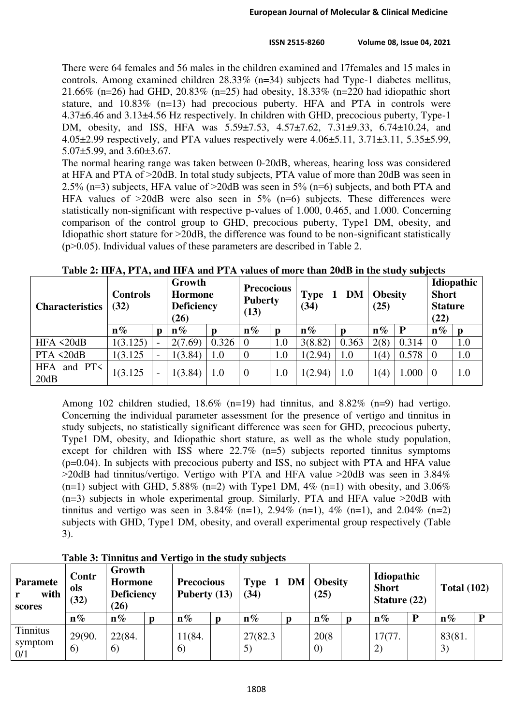There were 64 females and 56 males in the children examined and 17females and 15 males in controls. Among examined children 28.33% (n=34) subjects had Type-1 diabetes mellitus, 21.66% (n=26) had GHD, 20.83% (n=25) had obesity, 18.33% (n=220 had idiopathic short stature, and 10.83% (n=13) had precocious puberty. HFA and PTA in controls were 4.37±6.46 and 3.13±4.56 Hz respectively. In children with GHD, precocious puberty, Type-1 DM, obesity, and ISS, HFA was 5.59±7.53, 4.57±7.62, 7.31±9.33, 6.74±10.24, and 4.05 $\pm$ 2.99 respectively, and PTA values respectively were  $4.06\pm$ 5.11,  $3.71\pm$ 3.11,  $5.35\pm$ 5.99, 5.07±5.99, and 3.60±3.67.

The normal hearing range was taken between 0-20dB, whereas, hearing loss was considered at HFA and PTA of ˃20dB. In total study subjects, PTA value of more than 20dB was seen in 2.5% (n=3) subjects, HFA value of  $>$ 20dB was seen in 5% (n=6) subjects, and both PTA and HFA values of  $>20$ dB were also seen in 5% (n=6) subjects. These differences were statistically non-significant with respective p-values of 1.000, 0.465, and 1.000. Concerning comparison of the control group to GHD, precocious puberty, Type1 DM, obesity, and Idiopathic short stature for  $>20$ dB, the difference was found to be non-significant statistically  $(p>0.05)$ . Individual values of these parameters are described in Table 2.

| <b>Characteristics</b>          | <b>Controls</b><br>(32) | Growth<br>Hormone<br><b>Deficiency</b><br>(26) |       | <b>Precocious</b><br><b>Puberty</b><br>(13) |     | <b>Type</b><br>(34) | <b>DM</b> | <b>Obesity</b><br>(25) |       | Idiopathic<br><b>Short</b><br><b>Stature</b><br>(22) |     |
|---------------------------------|-------------------------|------------------------------------------------|-------|---------------------------------------------|-----|---------------------|-----------|------------------------|-------|------------------------------------------------------|-----|
|                                 | $\mathbf{n}\%$          | $n\%$                                          |       | $n\%$                                       |     | $\mathbf{n}\%$      | n         | $n\%$                  | P     | $n\%$                                                |     |
| HFA $\triangleleft 20dB$        | 1(3.125)                | 2(7.69)                                        | 0.326 | $\overline{0}$                              | 1.0 | 3(8.82)             | 0.363     | 2(8)                   | 0.314 |                                                      | 1.0 |
| PTA < 20dB                      | 1(3.125)                | 1(3.84)                                        | 1.0   | $\theta$                                    | 1.0 | 1(2.94)             | 1.0       | 1(4)                   | 0.578 | l ()                                                 | 1.0 |
| <b>HFA</b><br>and $PT<$<br>20dB | 1(3.125)                | 1(3.84)                                        | 1.0   | $\theta$                                    | 1.0 | 1(2.94)             | 1.0       | 1(4)                   | 1.000 |                                                      | 1.0 |

|  | Table 2: HFA, PTA, and HFA and PTA values of more than 20dB in the study subjects |  |  |
|--|-----------------------------------------------------------------------------------|--|--|
|  |                                                                                   |  |  |

Among 102 children studied,  $18.6\%$  (n=19) had tinnitus, and  $8.82\%$  (n=9) had vertigo. Concerning the individual parameter assessment for the presence of vertigo and tinnitus in study subjects, no statistically significant difference was seen for GHD, precocious puberty, Type1 DM, obesity, and Idiopathic short stature, as well as the whole study population, except for children with ISS where 22.7% (n=5) subjects reported tinnitus symptoms (p=0.04). In subjects with precocious puberty and ISS, no subject with PTA and HFA value  $>$ 20dB had tinnitus/vertigo. Vertigo with PTA and HFA value  $>$ 20dB was seen in 3.84%  $(n=1)$  subject with GHD, 5.88%  $(n=2)$  with Type1 DM, 4%  $(n=1)$  with obesity, and 3.06%  $(n=3)$  subjects in whole experimental group. Similarly, PTA and HFA value  $>20$ dB with tinnitus and vertigo was seen in 3.84% (n=1), 2.94% (n=1), 4% (n=1), and 2.04% (n=2) subjects with GHD, Type1 DM, obesity, and overall experimental group respectively (Table 3).

| <b>Paramete</b><br>with<br>scores | Contr<br>ols<br>(32) | Growth<br>Hormone<br><b>Deficiency</b><br>(26) |  | <b>Precocious</b><br>Puberty (13) |  | <b>DM</b><br><b>Type</b><br>(34) |  | <b>Obesity</b><br>(25)     |  | Idiopathic<br><b>Short</b><br>Stature $(22)$ |  | <b>Total (102)</b> |   |
|-----------------------------------|----------------------|------------------------------------------------|--|-----------------------------------|--|----------------------------------|--|----------------------------|--|----------------------------------------------|--|--------------------|---|
|                                   | $n\%$                | $n\%$                                          |  | $n\%$                             |  | $n\%$                            |  | $n\%$                      |  | $n\%$                                        |  | $n\%$              | D |
| Tinnitus<br>symptom<br>0/1        | 29(90.<br>6          | 22(84.<br>6)                                   |  | 11(84.<br>6)                      |  | 27(82.3)<br>5)                   |  | 20(8)<br>$\left( 0\right)$ |  | 17(77.<br>2)                                 |  | 83(81.<br>3)       |   |

**Table 3: Tinnitus and Vertigo in the study subjects**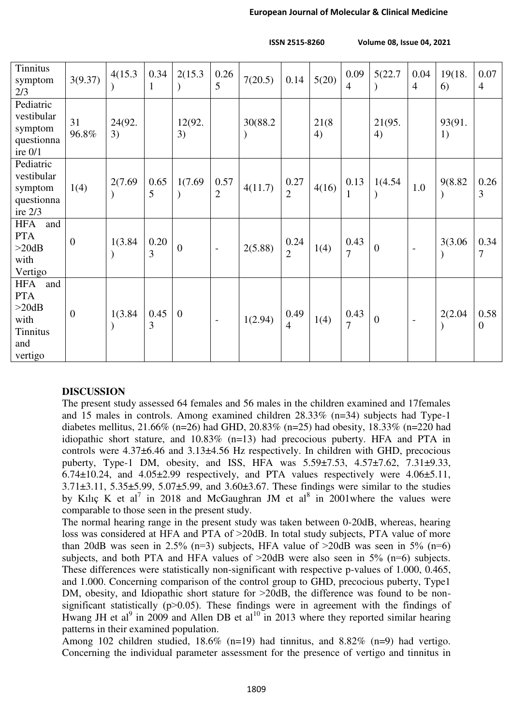**ISSN 2515-8260 Volume 08, Issue 04, 2021**

| Tinnitus<br>symptom<br>2/3                                                     | 3(9.37)        | 4(15.3)      | 0.34<br>1 | 2(15.3)          | 0.26<br>5                | 7(20.5)  | 0.14                   | 5(20)       | 0.09<br>$\overline{4}$ | 5(22.7)        | 0.04<br>$\overline{4}$   | 19(18.<br>6) | 0.07<br>$\overline{4}$ |
|--------------------------------------------------------------------------------|----------------|--------------|-----------|------------------|--------------------------|----------|------------------------|-------------|------------------------|----------------|--------------------------|--------------|------------------------|
| Pediatric<br>vestibular<br>symptom<br>questionna<br>ire $0/1$                  | 31<br>96.8%    | 24(92.<br>3) |           | 12(92.<br>3)     |                          | 30(88.2) |                        | 21(8)<br>4) |                        | 21(95.<br>4)   |                          | 93(91.<br>1) |                        |
| Pediatric<br>vestibular<br>symptom<br>questionna<br>ire $2/3$                  | 1(4)           | 2(7.69)      | 0.65<br>5 | 1(7.69)          | 0.57<br>$\overline{2}$   | 4(11.7)  | 0.27<br>$\overline{2}$ | 4(16)       | 0.13<br>-1             | 1(4.54)        | 1.0                      | 9(8.82       | 0.26<br>3              |
| <b>HFA</b><br>and<br><b>PTA</b><br>>20dB<br>with<br>Vertigo                    | $\overline{0}$ | 1(3.84)      | 0.20<br>3 | $\boldsymbol{0}$ | $\overline{\phantom{a}}$ | 2(5.88)  | 0.24<br>$\overline{2}$ | 1(4)        | 0.43<br>$\overline{7}$ | $\overline{0}$ |                          | 3(3.06)      | 0.34<br>$\overline{7}$ |
| <b>HFA</b><br>and<br><b>PTA</b><br>>20dB<br>with<br>Tinnitus<br>and<br>vertigo | $\overline{0}$ | 1(3.84)      | 0.45<br>3 | $\overline{0}$   | $\overline{\phantom{a}}$ | 1(2.94)  | 0.49<br>$\overline{4}$ | 1(4)        | 0.43<br>$\overline{7}$ | $\overline{0}$ | $\overline{\phantom{a}}$ | 2(2.04)      | 0.58<br>$\overline{0}$ |

#### **DISCUSSION**

The present study assessed 64 females and 56 males in the children examined and 17females and 15 males in controls. Among examined children 28.33% (n=34) subjects had Type-1 diabetes mellitus, 21.66% (n=26) had GHD, 20.83% (n=25) had obesity, 18.33% (n=220 had idiopathic short stature, and  $10.83\%$  (n=13) had precocious puberty. HFA and PTA in controls were 4.37±6.46 and 3.13±4.56 Hz respectively. In children with GHD, precocious puberty, Type-1 DM, obesity, and ISS, HFA was 5.59±7.53, 4.57±7.62, 7.31±9.33,  $6.74\pm10.24$ , and  $4.05\pm2.99$  respectively, and PTA values respectively were  $4.06\pm5.11$ , 3.71±3.11, 5.35±5.99, 5.07±5.99, and 3.60±3.67. These findings were similar to the studies by Kılıç K et al<sup>7</sup> in 2018 and McGaughran JM et al<sup>8</sup> in 2001 where the values were comparable to those seen in the present study.

The normal hearing range in the present study was taken between 0-20dB, whereas, hearing loss was considered at HFA and PTA of  $>$ 20dB. In total study subjects, PTA value of more than 20dB was seen in 2.5% (n=3) subjects, HFA value of  $>20$ dB was seen in 5% (n=6) subjects, and both PTA and HFA values of  $>20$ dB were also seen in 5% (n=6) subjects. These differences were statistically non-significant with respective p-values of 1.000, 0.465, and 1.000. Concerning comparison of the control group to GHD, precocious puberty, Type1 DM, obesity, and Idiopathic short stature for  $>$ 20dB, the difference was found to be nonsignificant statistically  $(p>0.05)$ . These findings were in agreement with the findings of Hwang JH et al<sup>9</sup> in 2009 and Allen DB et al<sup>10</sup> in 2013 where they reported similar hearing patterns in their examined population.

Among 102 children studied, 18.6% (n=19) had tinnitus, and 8.82% (n=9) had vertigo. Concerning the individual parameter assessment for the presence of vertigo and tinnitus in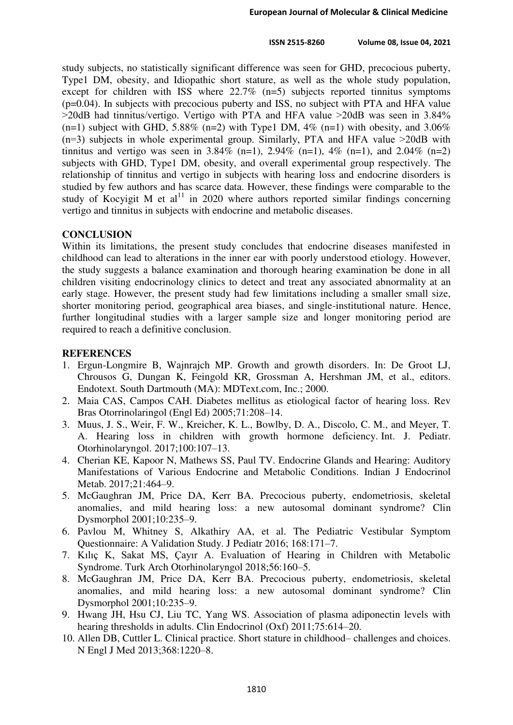study subjects, no statistically significant difference was seen for GHD, precocious puberty, Type1 DM, obesity, and Idiopathic short stature, as well as the whole study population, except for children with ISS where 22.7% (n=5) subjects reported tinnitus symptoms (p=0.04). In subjects with precocious puberty and ISS, no subject with PTA and HFA value ˃20dB had tinnitus/vertigo. Vertigo with PTA and HFA value ˃20dB was seen in 3.84%  $(n=1)$  subject with GHD, 5.88%  $(n=2)$  with Type1 DM, 4%  $(n=1)$  with obesity, and 3.06%  $(n=3)$  subjects in whole experimental group. Similarly, PTA and HFA value  $>20$ dB with tinnitus and vertigo was seen in 3.84% (n=1), 2.94% (n=1), 4% (n=1), and 2.04% (n=2) subjects with GHD, Type1 DM, obesity, and overall experimental group respectively. The relationship of tinnitus and vertigo in subjects with hearing loss and endocrine disorders is studied by few authors and has scarce data. However, these findings were comparable to the study of Kocyigit M et al<sup>11</sup> in 2020 where authors reported similar findings concerning vertigo and tinnitus in subjects with endocrine and metabolic diseases.

### **CONCLUSION**

Within its limitations, the present study concludes that endocrine diseases manifested in childhood can lead to alterations in the inner ear with poorly understood etiology. However, the study suggests a balance examination and thorough hearing examination be done in all children visiting endocrinology clinics to detect and treat any associated abnormality at an early stage. However, the present study had few limitations including a smaller small size, shorter monitoring period, geographical area biases, and single-institutional nature. Hence, further longitudinal studies with a larger sample size and longer monitoring period are required to reach a definitive conclusion.

# **REFERENCES**

- 1. Ergun-Longmire B, Wajnrajch MP. Growth and growth disorders. In: De Groot LJ, Chrousos G, Dungan K, Feingold KR, Grossman A, Hershman JM, et al., editors. Endotext. South Dartmouth (MA): MDText.com, Inc.; 2000.
- 2. Maia CAS, Campos CAH. Diabetes mellitus as etiological factor of hearing loss. Rev Bras Otorrinolaringol (Engl Ed) 2005;71:208–14.
- 3. Muus, J. S., Weir, F. W., Kreicher, K. L., Bowlby, D. A., Discolo, C. M., and Meyer, T. A. Hearing loss in children with growth hormone deficiency. Int. J. Pediatr. Otorhinolaryngol. 2017;100:107–13.
- 4. Cherian KE, Kapoor N, Mathews SS, Paul TV. Endocrine Glands and Hearing: Auditory Manifestations of Various Endocrine and Metabolic Conditions. Indian J Endocrinol Metab. 2017;21:464–9.
- 5. McGaughran JM, Price DA, Kerr BA. Precocious puberty, endometriosis, skeletal anomalies, and mild hearing loss: a new autosomal dominant syndrome? Clin Dysmorphol 2001;10:235–9.
- 6. Pavlou M, Whitney S, Alkathiry AA, et al. The Pediatric Vestibular Symptom Questionnaire: A Validation Study. J Pediatr 2016; 168:171–7.
- 7. Kılıç K, Sakat MS, Çayır A. Evaluation of Hearing in Children with Metabolic Syndrome. Turk Arch Otorhinolaryngol 2018;56:160–5.
- 8. McGaughran JM, Price DA, Kerr BA. Precocious puberty, endometriosis, skeletal anomalies, and mild hearing loss: a new autosomal dominant syndrome? Clin Dysmorphol 2001;10:235–9.
- 9. Hwang JH, Hsu CJ, Liu TC, Yang WS. Association of plasma adiponectin levels with hearing thresholds in adults. Clin Endocrinol (Oxf) 2011;75:614–20.
- 10. Allen DB, Cuttler L. Clinical practice. Short stature in childhood– challenges and choices. N Engl J Med 2013;368:1220–8.